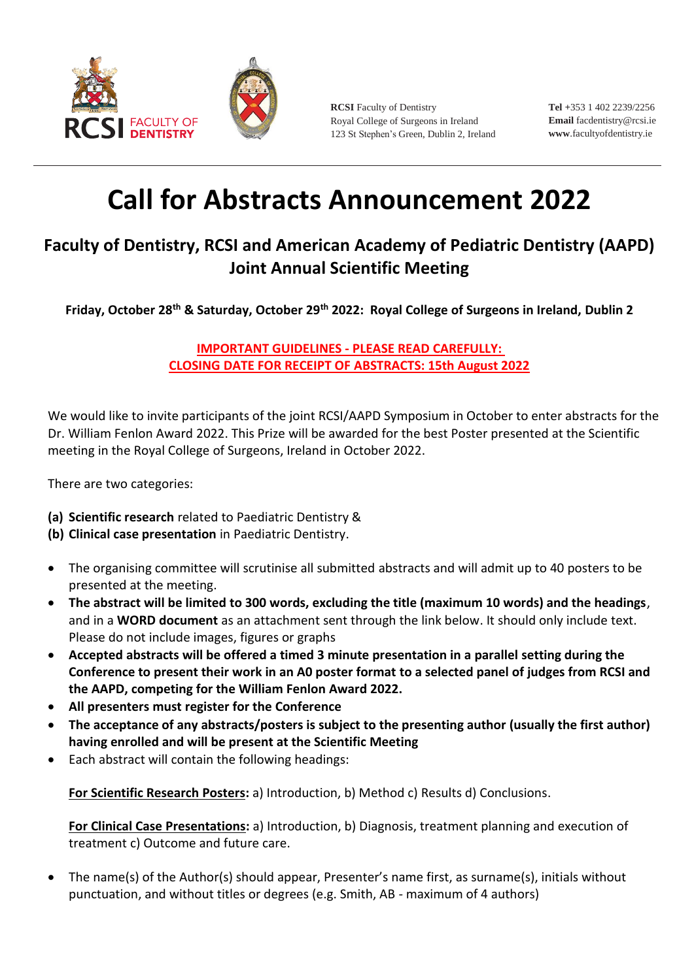

**RCSI** Faculty of Dentistry Royal College of Surgeons in Ireland 123 St Stephen's Green, Dublin 2, Ireland **Tel +**353 1 402 2239/2256 **Email** [facdentistry@rcsi.ie](mailto:facdentistry@rcsi.ie) **www**[.facultyofdentistry.ie](http://www.facultyofdentistry.ie/)

## **Call for Abstracts Announcement 2022**

## **Faculty of Dentistry, RCSI and American Academy of Pediatric Dentistry (AAPD) Joint Annual Scientific Meeting**

**Friday, October 28th & Saturday, October 29th 2022: Royal College of Surgeons in Ireland, Dublin 2**

**IMPORTANT GUIDELINES - PLEASE READ CAREFULLY: CLOSING DATE FOR RECEIPT OF ABSTRACTS: 15th August 2022**

We would like to invite participants of the joint RCSI/AAPD Symposium in October to enter abstracts for the Dr. William Fenlon Award 2022. This Prize will be awarded for the best Poster presented at the Scientific meeting in the Royal College of Surgeons, Ireland in October 2022.

There are two categories:

- **(a) Scientific research** related to Paediatric Dentistry &
- **(b) Clinical case presentation** in Paediatric Dentistry.
- The organising committee will scrutinise all submitted abstracts and will admit up to 40 posters to be presented at the meeting.
- **The abstract will be limited to 300 words, excluding the title (maximum 10 words) and the headings**, and in a **WORD document** as an attachment sent through the link below. It should only include text. Please do not include images, figures or graphs
- **Accepted abstracts will be offered a timed 3 minute presentation in a parallel setting during the Conference to present their work in an A0 poster format to a selected panel of judges from RCSI and the AAPD, competing for the William Fenlon Award 2022.**
- **All presenters must register for the Conference**
- **The acceptance of any abstracts/posters is subject to the presenting author (usually the first author) having enrolled and will be present at the Scientific Meeting**
- Each abstract will contain the following headings:

**For Scientific Research Posters:** a) Introduction, b) Method c) Results d) Conclusions.

**For Clinical Case Presentations:** a) Introduction, b) Diagnosis, treatment planning and execution of treatment c) Outcome and future care.

 The name(s) of the Author(s) should appear, Presenter's name first, as surname(s), initials without punctuation, and without titles or degrees (e.g. Smith, AB - maximum of 4 authors)